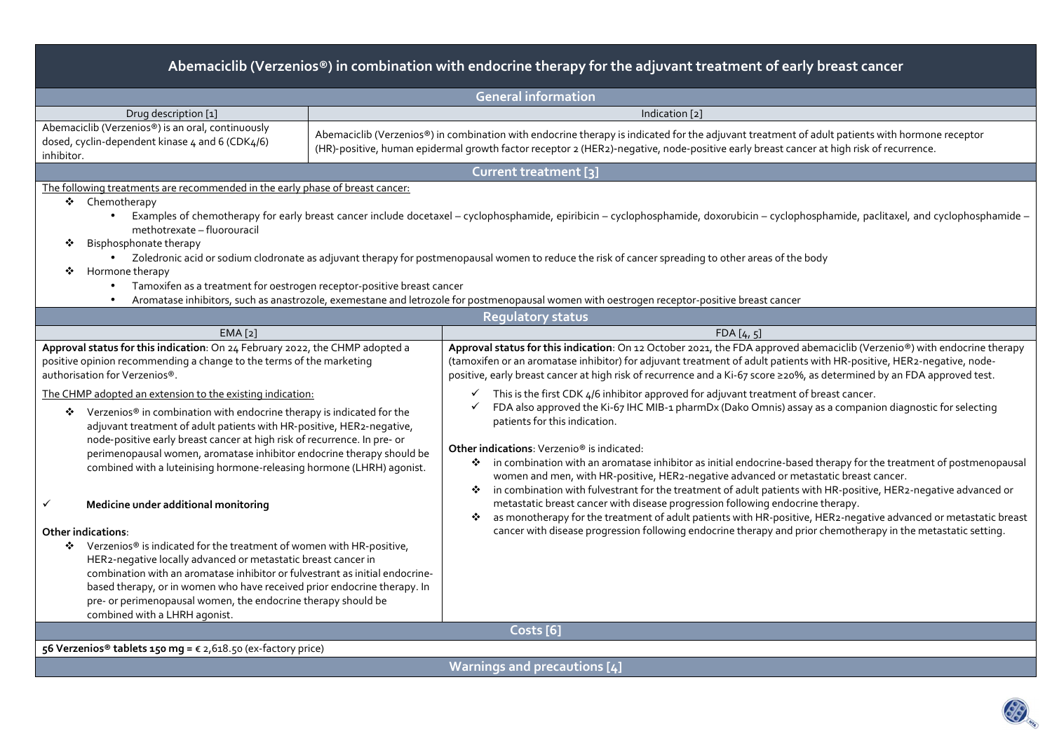| Abemaciclib (Verzenios®) in combination with endocrine therapy for the adjuvant treatment of early breast cancer                                                                                                                                                                                                                                                                                                                                                                                                                                                                                                                                                                                                                                                                                                                                                                                                                    |                            |                                                                                                                                                                                                                                                                                                                                                                                                                                                                                                                                                                                                                                                                                                                                                                                                                                                                                                                                                                                          |  |  |  |  |  |  |  |
|-------------------------------------------------------------------------------------------------------------------------------------------------------------------------------------------------------------------------------------------------------------------------------------------------------------------------------------------------------------------------------------------------------------------------------------------------------------------------------------------------------------------------------------------------------------------------------------------------------------------------------------------------------------------------------------------------------------------------------------------------------------------------------------------------------------------------------------------------------------------------------------------------------------------------------------|----------------------------|------------------------------------------------------------------------------------------------------------------------------------------------------------------------------------------------------------------------------------------------------------------------------------------------------------------------------------------------------------------------------------------------------------------------------------------------------------------------------------------------------------------------------------------------------------------------------------------------------------------------------------------------------------------------------------------------------------------------------------------------------------------------------------------------------------------------------------------------------------------------------------------------------------------------------------------------------------------------------------------|--|--|--|--|--|--|--|
|                                                                                                                                                                                                                                                                                                                                                                                                                                                                                                                                                                                                                                                                                                                                                                                                                                                                                                                                     | <b>General information</b> |                                                                                                                                                                                                                                                                                                                                                                                                                                                                                                                                                                                                                                                                                                                                                                                                                                                                                                                                                                                          |  |  |  |  |  |  |  |
| Drug description [1]                                                                                                                                                                                                                                                                                                                                                                                                                                                                                                                                                                                                                                                                                                                                                                                                                                                                                                                |                            | Indication [2]                                                                                                                                                                                                                                                                                                                                                                                                                                                                                                                                                                                                                                                                                                                                                                                                                                                                                                                                                                           |  |  |  |  |  |  |  |
| Abemaciclib (Verzenios®) is an oral, continuously<br>dosed, cyclin-dependent kinase 4 and 6 (CDK4/6)<br>inhibitor.                                                                                                                                                                                                                                                                                                                                                                                                                                                                                                                                                                                                                                                                                                                                                                                                                  |                            | Abemaciclib (Verzenios®) in combination with endocrine therapy is indicated for the adjuvant treatment of adult patients with hormone receptor<br>(HR)-positive, human epidermal growth factor receptor 2 (HER2)-negative, node-positive early breast cancer at high risk of recurrence.                                                                                                                                                                                                                                                                                                                                                                                                                                                                                                                                                                                                                                                                                                 |  |  |  |  |  |  |  |
|                                                                                                                                                                                                                                                                                                                                                                                                                                                                                                                                                                                                                                                                                                                                                                                                                                                                                                                                     |                            | Current treatment [3]                                                                                                                                                                                                                                                                                                                                                                                                                                                                                                                                                                                                                                                                                                                                                                                                                                                                                                                                                                    |  |  |  |  |  |  |  |
| The following treatments are recommended in the early phase of breast cancer:<br>❖ Chemotherapy<br>methotrexate - fluorouracil<br>Bisphosphonate therapy<br>Hormone therapy<br>Tamoxifen as a treatment for oestrogen receptor-positive breast cancer                                                                                                                                                                                                                                                                                                                                                                                                                                                                                                                                                                                                                                                                               |                            | Examples of chemotherapy for early breast cancer include docetaxel – cyclophosphamide, epiribicin – cyclophosphamide, doxorubicin – cyclophosphamide, paclitaxel, and cyclophosphamide –<br>• Zoledronic acid or sodium clodronate as adjuvant therapy for postmenopausal women to reduce the risk of cancer spreading to other areas of the body<br>Aromatase inhibitors, such as anastrozole, exemestane and letrozole for postmenopausal women with oestrogen receptor-positive breast cancer                                                                                                                                                                                                                                                                                                                                                                                                                                                                                         |  |  |  |  |  |  |  |
|                                                                                                                                                                                                                                                                                                                                                                                                                                                                                                                                                                                                                                                                                                                                                                                                                                                                                                                                     |                            | <b>Regulatory status</b>                                                                                                                                                                                                                                                                                                                                                                                                                                                                                                                                                                                                                                                                                                                                                                                                                                                                                                                                                                 |  |  |  |  |  |  |  |
| EMA [2]                                                                                                                                                                                                                                                                                                                                                                                                                                                                                                                                                                                                                                                                                                                                                                                                                                                                                                                             |                            | FDA[4, 5]                                                                                                                                                                                                                                                                                                                                                                                                                                                                                                                                                                                                                                                                                                                                                                                                                                                                                                                                                                                |  |  |  |  |  |  |  |
| Approval status for this indication: On 24 February 2022, the CHMP adopted a<br>positive opinion recommending a change to the terms of the marketing<br>authorisation for Verzenios®.                                                                                                                                                                                                                                                                                                                                                                                                                                                                                                                                                                                                                                                                                                                                               |                            | Approval status for this indication: On 12 October 2021, the FDA approved abemaciclib (Verzenio®) with endocrine therapy<br>(tamoxifen or an aromatase inhibitor) for adjuvant treatment of adult patients with HR-positive, HER2-negative, node-<br>positive, early breast cancer at high risk of recurrence and a Ki-67 score ≥20%, as determined by an FDA approved test.                                                                                                                                                                                                                                                                                                                                                                                                                                                                                                                                                                                                             |  |  |  |  |  |  |  |
| The CHMP adopted an extension to the existing indication:<br>❖ Verzenios <sup>®</sup> in combination with endocrine therapy is indicated for the<br>adjuvant treatment of adult patients with HR-positive, HER2-negative,<br>node-positive early breast cancer at high risk of recurrence. In pre- or<br>perimenopausal women, aromatase inhibitor endocrine therapy should be<br>combined with a luteinising hormone-releasing hormone (LHRH) agonist.<br>Medicine under additional monitoring<br>✓<br>Other indications:<br>❖ Verzenios® is indicated for the treatment of women with HR-positive,<br>HER2-negative locally advanced or metastatic breast cancer in<br>combination with an aromatase inhibitor or fulvestrant as initial endocrine-<br>based therapy, or in women who have received prior endocrine therapy. In<br>pre- or perimenopausal women, the endocrine therapy should be<br>combined with a LHRH agonist. |                            | $\checkmark$ This is the first CDK 4/6 inhibitor approved for adjuvant treatment of breast cancer.<br>FDA also approved the Ki-67 IHC MIB-1 pharmDx (Dako Omnis) assay as a companion diagnostic for selecting<br>✓<br>patients for this indication.<br><b>Other indications:</b> Verzenio <sup>®</sup> is indicated:<br>* in combination with an aromatase inhibitor as initial endocrine-based therapy for the treatment of postmenopausal<br>women and men, with HR-positive, HER2-negative advanced or metastatic breast cancer.<br>in combination with fulvestrant for the treatment of adult patients with HR-positive, HER2-negative advanced or<br>❖<br>metastatic breast cancer with disease progression following endocrine therapy.<br>as monotherapy for the treatment of adult patients with HR-positive, HER2-negative advanced or metastatic breast<br>❖<br>cancer with disease progression following endocrine therapy and prior chemotherapy in the metastatic setting. |  |  |  |  |  |  |  |
| 56 Verzenios® tablets 150 mg = € 2,618.50 (ex-factory price)                                                                                                                                                                                                                                                                                                                                                                                                                                                                                                                                                                                                                                                                                                                                                                                                                                                                        |                            | Costs [6]                                                                                                                                                                                                                                                                                                                                                                                                                                                                                                                                                                                                                                                                                                                                                                                                                                                                                                                                                                                |  |  |  |  |  |  |  |
|                                                                                                                                                                                                                                                                                                                                                                                                                                                                                                                                                                                                                                                                                                                                                                                                                                                                                                                                     |                            | Warnings and precautions [4]                                                                                                                                                                                                                                                                                                                                                                                                                                                                                                                                                                                                                                                                                                                                                                                                                                                                                                                                                             |  |  |  |  |  |  |  |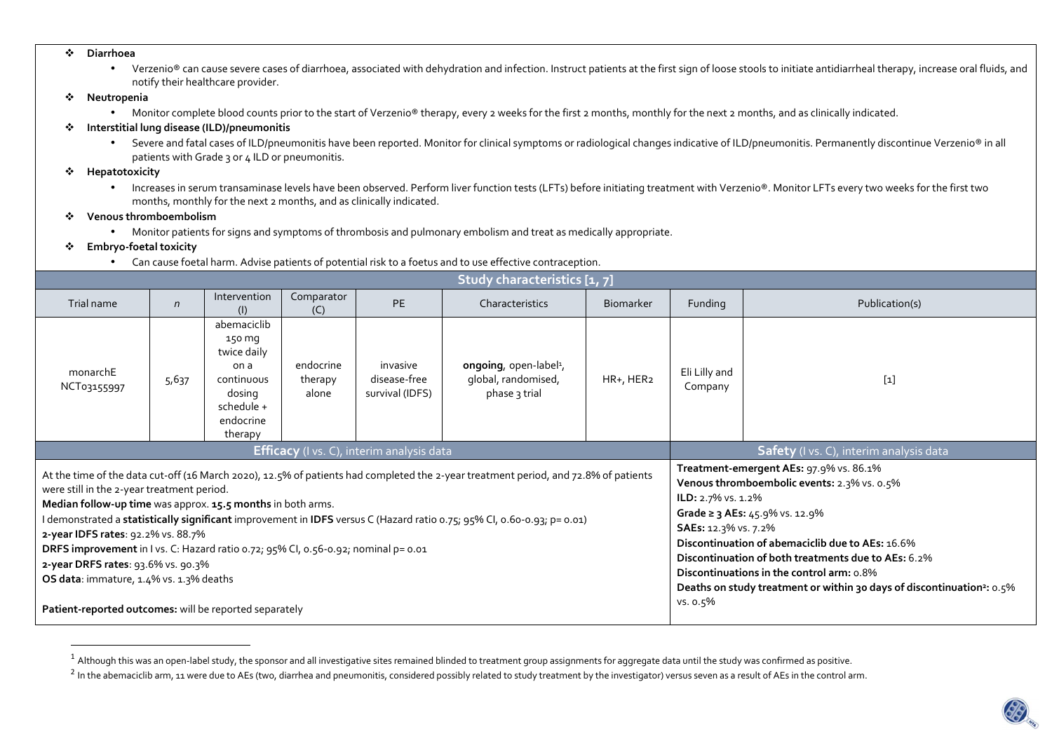- $\mathbf{r}_{\mathbf{r}}$  **Diarrhoea** 
	- Verzenio® can cause severe cases of diarrhoea, associated with dehydration and infection. Instruct patients at the first sign of loose stools to initiate antidiarrheal therapy, increase oral fluids, and notify their healthcare provider.
- $\mathcal{L}_{\mathcal{F}}$  **Neutropenia** 
	- $\bullet$  Monitor complete blood counts prior to the start of Verzenio® therapy, every 2 weeks for the first 2 months, monthly for the next 2 months, and as clinically indicated.
- ❖ **Interstitial lung disease (ILD)/pneumonitis** 
	- $\bullet$  Severe and fatal cases of ILD/pneumonitis have been reported. Monitor for clinical symptoms or radiological changes indicative of ILD/pneumonitis. Permanently discontinue Verzenio® in all patients with Grade 3 or 4 ILD or pneumonitis.
- $\mathbf{r}$  **Hepatotoxicity** 
	- Increases in serum transaminase levels have been observed. Perform liver function tests (LFTs) before initiating treatment with Verzenio®. Monitor LFTs every two weeks for the first two months, monthly for the next 2 months, and as clinically indicated.
- ÷ **Venous thromboembolism** 
	- Monitor patients for signs and symptoms of thrombosis and pulmonary embolism and treat as medically appropriate.
- ※ **Embryo-foetal toxicity** 
	- •Can cause foetal harm. Advise patients of potential risk to a foetus and to use effective contraception.

| Study characteristics [1, 7]                                                                                                                                                                                                                                                                                                                                                                                                                                                                                                                                                           |                                                              |                                                                                                            |                                     |                                             |                                                                                         |                |                          |                                                                                                                                                                                                                                                                                                                                                                                                                      |  |  |
|----------------------------------------------------------------------------------------------------------------------------------------------------------------------------------------------------------------------------------------------------------------------------------------------------------------------------------------------------------------------------------------------------------------------------------------------------------------------------------------------------------------------------------------------------------------------------------------|--------------------------------------------------------------|------------------------------------------------------------------------------------------------------------|-------------------------------------|---------------------------------------------|-----------------------------------------------------------------------------------------|----------------|--------------------------|----------------------------------------------------------------------------------------------------------------------------------------------------------------------------------------------------------------------------------------------------------------------------------------------------------------------------------------------------------------------------------------------------------------------|--|--|
| Trial name                                                                                                                                                                                                                                                                                                                                                                                                                                                                                                                                                                             | Intervention<br>Comparator<br>PE<br>$\sqrt{n}$<br>(1)<br>(C) |                                                                                                            | Characteristics<br><b>Biomarker</b> |                                             | Funding                                                                                 | Publication(s) |                          |                                                                                                                                                                                                                                                                                                                                                                                                                      |  |  |
| monarchE<br>NCT03155997                                                                                                                                                                                                                                                                                                                                                                                                                                                                                                                                                                | 5,637                                                        | abemaciclib<br>150 mg<br>twice daily<br>on a<br>continuous<br>dosing<br>schedule +<br>endocrine<br>therapy | endocrine<br>therapy<br>alone       | invasive<br>disease-free<br>survival (IDFS) | ongoing, open-label <sup>1</sup> ,<br>HR+, HER2<br>global, randomised,<br>phase 3 trial |                | Eli Lilly and<br>Company | $[1]$                                                                                                                                                                                                                                                                                                                                                                                                                |  |  |
| <b>Efficacy</b> (I vs. C), interim analysis data                                                                                                                                                                                                                                                                                                                                                                                                                                                                                                                                       |                                                              |                                                                                                            |                                     |                                             |                                                                                         |                |                          | Safety (I vs. C), interim analysis data                                                                                                                                                                                                                                                                                                                                                                              |  |  |
| At the time of the data cut-off (16 March 2020), 12.5% of patients had completed the 2-year treatment period, and 72.8% of patients<br>were still in the 2-year treatment period.<br>Median follow-up time was approx. 15.5 months in both arms.<br>demonstrated a statistically significant improvement in IDFS versus C (Hazard ratio 0.75; 95% CI, 0.60-0.93; p= 0.01)<br>2-year IDFS rates: 92.2% vs. 88.7%<br>DRFS improvement in I vs. C: Hazard ratio 0.72; 95% CI, 0.56-0.92; nominal p= 0.01<br>2-year DRFS rates: 93.6% vs. 90.3%<br>OS data: immature, 1.4% vs. 1.3% deaths |                                                              |                                                                                                            |                                     |                                             |                                                                                         |                |                          | Treatment-emergent AEs: 97.9% vs. 86.1%<br>Venous thromboembolic events: 2.3% vs. 0.5%<br>ILD: 2.7% vs. 1.2%<br>Grade ≥ 3 AEs: 45.9% vs. 12.9%<br>SAEs: 12.3% vs. 7.2%<br>Discontinuation of abemaciclib due to AEs: 16.6%<br>Discontinuation of both treatments due to AEs: 6.2%<br>Discontinuations in the control arm: 0.8%<br>Deaths on study treatment or within 30 days of discontinuation <sup>2</sup> : 0.5% |  |  |
| Patient-reported outcomes: will be reported separately                                                                                                                                                                                                                                                                                                                                                                                                                                                                                                                                 |                                                              |                                                                                                            |                                     |                                             |                                                                                         |                |                          | vs. o.5%                                                                                                                                                                                                                                                                                                                                                                                                             |  |  |

 $^{\text{1}}$  Although this was an open-label study, the sponsor and all investigative sites remained blinded to treatment group assignments for aggregate data until the study was confirmed as positive.

<sup>&</sup>lt;sup>2</sup> In the abemaciclib arm, 11 were due to AEs (two, diarrhea and pneumonitis, considered possibly related to study treatment by the investigator) versus seven as a result of AEs in the control arm.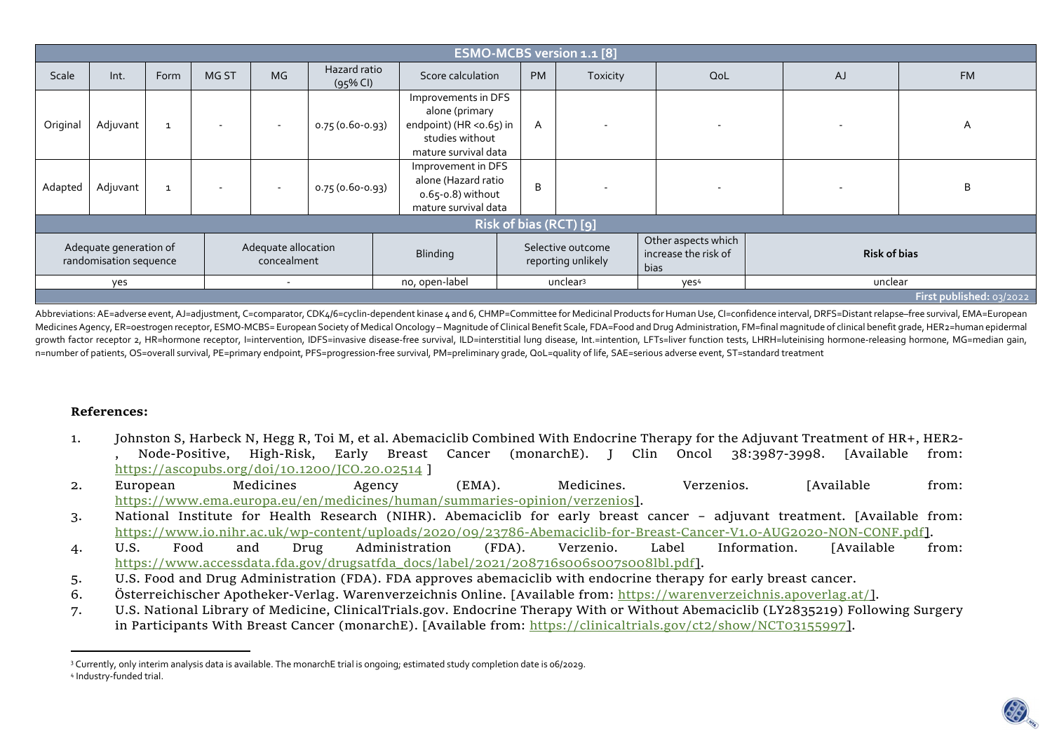| ESMO-MCBS version 1.1 [8]                        |          |                                    |                      |          |                                         |                                                                                                              |                                                     |                          |                     |           |           |
|--------------------------------------------------|----------|------------------------------------|----------------------|----------|-----------------------------------------|--------------------------------------------------------------------------------------------------------------|-----------------------------------------------------|--------------------------|---------------------|-----------|-----------|
| Scale                                            | Int.     | Form                               | MG ST                | MG       | Hazard ratio<br>$(95\%$ CI)             | Score calculation                                                                                            | <b>PM</b>                                           | Toxicity                 | QoL                 | <b>AJ</b> | <b>FM</b> |
| Original                                         | Adjuvant | $\mathbf{1}$                       |                      | $\sim$   | 0.75 (0.60-0.93)                        | Improvements in DFS<br>alone (primary<br>endpoint) (HR < 0.65) in<br>studies without<br>mature survival data | A                                                   | $\overline{\phantom{a}}$ |                     |           | A         |
| Adapted                                          | Adjuvant | $\mathbf{1}$                       |                      | $\sim$   | 0.75 (0.60-0.93)                        | Improvement in DFS<br>alone (Hazard ratio<br>$0.65-0.8$ ) without<br>mature survival data                    |                                                     | $\overline{\phantom{a}}$ |                     |           | B         |
| Risk of bias (RCT) [9]                           |          |                                    |                      |          |                                         |                                                                                                              |                                                     |                          |                     |           |           |
| Adequate generation of<br>randomisation sequence |          | Adequate allocation<br>concealment |                      | Blinding | Selective outcome<br>reporting unlikely |                                                                                                              | Other aspects which<br>increase the risk of<br>bias |                          | <b>Risk of bias</b> |           |           |
| yes<br>$\overline{\phantom{a}}$                  |          | no, open-label                     | unclear <sup>3</sup> |          | yes <sup>4</sup>                        | unclear                                                                                                      |                                                     |                          |                     |           |           |
| First published: 03/2022                         |          |                                    |                      |          |                                         |                                                                                                              |                                                     |                          |                     |           |           |

Abbreviations: AE=adverse event, AJ=adjustment, C=comparator, CDK4/6=cyclin-dependent kinase 4 and 6, CHMP=Committee for Medicinal Products for Human Use, Cl=confidence interval, DRFS=Distant relapse-free survival, EMA=Eur Medicines Agency, ER=oestrogen receptor, ESMO-MCBS= European Society of Medical Oncology - Magnitude of Clinical Benefit Scale, FDA=Food and Drug Administration, FM=final magnitude of clinical benefit grade, HER2=human epi growth factor receptor 2, HR=hormone receptor, l=intervention, IDFS=invasive disease-free survival, ILD=interstitial lung disease, Int.=intention, LFTs=liver function tests, LHRH=luteinising hormone-releasing hormone, MG=m n=number of patients, OS=overall survival, PE=primary endpoint, PFS=progression-free survival, PM=preliminary grade, QoL=quality of life, SAE=serious adverse event, ST=standard treatment

## **References:**

- 1. Johnston S, Harbeck N, Hegg R, Toi M, et al. Abemaciclib Combined With Endocrine Therapy for the Adjuvant Treatment of HR+, HER2- , Node-Positive, High-Risk, Early Breast Cancer (monarchE). J Clin Oncol 38:3987-3998. [Available from: https://ascopubs.org/doi/10.1200/JCO.20.02514 ]
- 2. European Medicines Agency (EMA). Medicines. Verzenios. [Available from: https://www.ema.europa.eu/en/medicines/human/summaries-opinion/verzenios].
- 3. National Institute for Health Research (NIHR). Abemaciclib for early breast cancer adjuvant treatment. [Available from: https://www.io.nihr.ac.uk/wp-content/uploads/2020/09/23786-Abemaciclib-for-Breast-Cancer-V1.0-AUG2020-NON-CONF.pdf].
- 4. U.S. Food and Drug Administration (FDA). Verzenio. Label Information. [Available from: https://www.accessdata.fda.gov/drugsatfda\_docs/label/2021/208716s006s007s008lbl.pdf].
- 5. U.S. Food and Drug Administration (FDA). FDA approves abemaciclib with endocrine therapy for early breast cancer.
- 6. Österreichischer Apotheker-Verlag. Warenverzeichnis Online. [Available from: <u>https://warenverzeichnis.apoverlag.at/]</u>.
- 7. U.S. National Library of Medicine, ClinicalTrials.gov. Endocrine Therapy With or Without Abemaciclib (LY2835219) Following Surgery in Participants With Breast Cancer (monarchE). [Available from: https://clinicaltrials.gov/ct2/show/NCT03155997].

<sup>3</sup> Currently, only interim analysis data is available. The monarchE trial is ongoing; estimated study completion date is 06/2029. 4 Industry-funded trial.